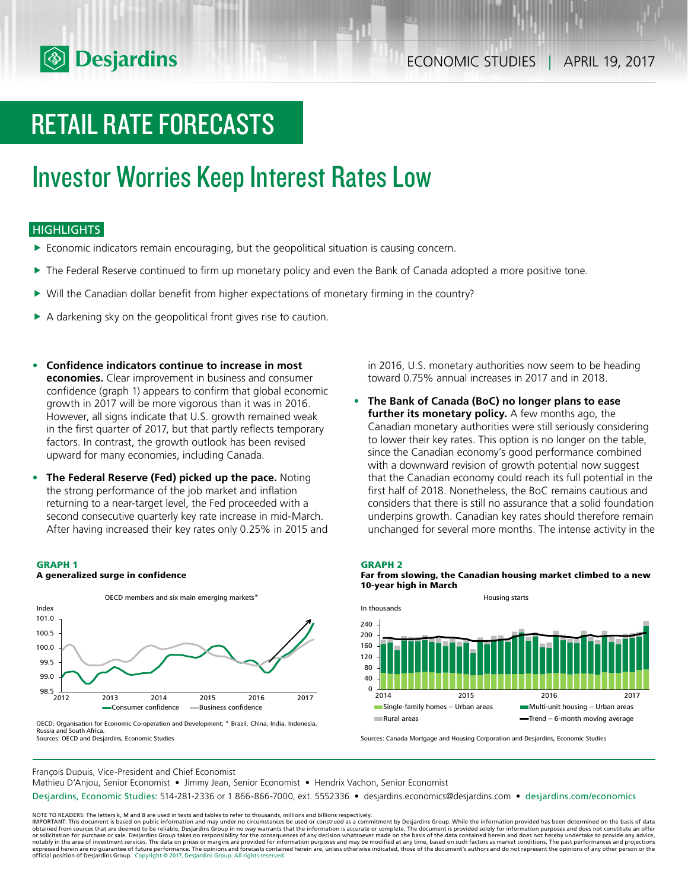

## RETAIL RATE FORECASTS

## Investor Worries Keep Interest Rates Low

## **HIGHLIGHTS**

- f Economic indicators remain encouraging, but the geopolitical situation is causing concern.
- $\blacktriangleright$  The Federal Reserve continued to firm up monetary policy and even the Bank of Canada adopted a more positive tone.
- $\triangleright$  Will the Canadian dollar benefit from higher expectations of monetary firming in the country?
- $\triangleright$  A darkening sky on the geopolitical front gives rise to caution.
- **• Confidence indicators continue to increase in most economies.** Clear improvement in business and consumer confidence (graph 1) appears to confirm that global economic growth in 2017 will be more vigorous than it was in 2016. However, all signs indicate that U.S. growth remained weak in the first quarter of 2017, but that partly reflects temporary factors. In contrast, the growth outlook has been revised upward for many economies, including Canada.
- **• The Federal Reserve (Fed) picked up the pace.** Noting the strong performance of the job market and inflation returning to a near-target level, the Fed proceeded with a second consecutive quarterly key rate increase in mid-March. After having increased their key rates only 0.25% in 2015 and

#### **GRAPH 1**

#### **A generalized surge in confidence**



OECD: Organisation for Economic Co-operation and Development; \* Brazil, China, India, Indonesia, Russia and South Africa. Sources: OECD and Desjardins, Economic Studies

in 2016, U.S. monetary authorities now seem to be heading toward 0.75% annual increases in 2017 and in 2018.

**• The Bank of Canada (BoC) no longer plans to ease further its monetary policy.** A few months ago, the Canadian monetary authorities were still seriously considering to lower their key rates. This option is no longer on the table, since the Canadian economy's good performance combined with a downward revision of growth potential now suggest that the Canadian economy could reach its full potential in the first half of 2018. Nonetheless, the BoC remains cautious and considers that there is still no assurance that a solid foundation underpins growth. Canadian key rates should therefore remain unchanged for several more months. The intense activity in the

#### **GRAPH 2**





Sources: Canada Mortgage and Housing Corporation and Desjardins, Economic Studies

François Dupuis, Vice-President and Chief Economist

Mathieu D'Anjou, Senior Economist • Jimmy Jean, Senior Economist • Hendrix Vachon, Senior Economist

Desjardins, Economic Studies: 514-281-2336 or 1 866-866-7000, ext. 5552336 • desjardins.economics@desjardins.com • desjardins.com/economics

NOTE TO READERS: The letters k, M and B are used in texts and tables to refer to thousands, millions and billions respectively.<br>IMPORTANT: This document is based on public information and may under no circumstances be used obtained from sources that are deemed to be reliable, Desjardins Group in no way warrants that the information is accurate or complete. The document is provided solely for information purposes and does not constitute an of expressed herein are no guarantee of future performance. The opinions and forecasts contained herein are, unless otherwise indicated, those of the document's authors and do not represent the opinions of any other person or official position of Desjardins Group. Copyright © 2017, Desjardins Group. All rights reserved.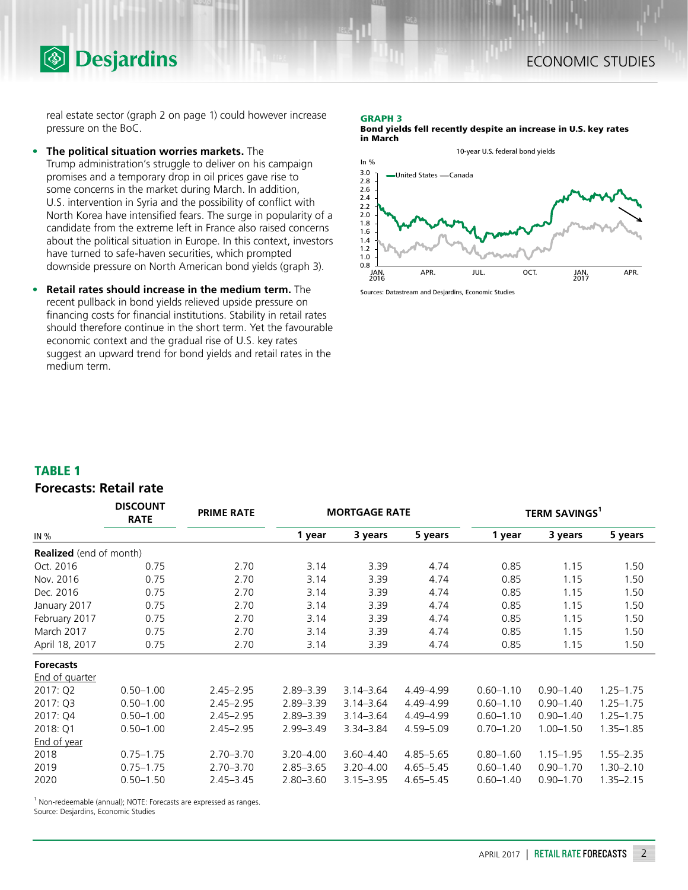real estate sector (graph 2 on page 1) could however increase pressure on the BoC.

**• The political situation worries markets.** The

**<sup><sup>5</sup>** Desjardins</sup>

Trump administration's struggle to deliver on his campaign promises and a temporary drop in oil prices gave rise to some concerns in the market during March. In addition, U.S. intervention in Syria and the possibility of conflict with North Korea have intensified fears. The surge in popularity of a candidate from the extreme left in France also raised concerns about the political situation in Europe. In this context, investors have turned to safe-haven securities, which prompted downside pressure on North American bond yields (graph 3).

**• Retail rates should increase in the medium term.** The recent pullback in bond yields relieved upside pressure on financing costs for financial institutions. Stability in retail rates should therefore continue in the short term. Yet the favourable economic context and the gradual rise of U.S. key rates suggest an upward trend for bond yields and retail rates in the medium term.

#### **GRAPH 3**

**Bond yields fell recently despite an increase in U.S. key rates in March**



Sources: Datastream and Desjardins, Economic Studies

### **TABLE 1**

## **Forecasts: Retail rate**

|                                | <b>DISCOUNT</b><br><b>RATE</b> | <b>PRIME RATE</b> |               | <b>MORTGAGE RATE</b> |               | <b>TERM SAVINGS</b> |               |               |
|--------------------------------|--------------------------------|-------------------|---------------|----------------------|---------------|---------------------|---------------|---------------|
| IN $%$                         |                                |                   | 1 year        | 3 years              | 5 years       | 1 year              | 3 years       | 5 years       |
| <b>Realized</b> (end of month) |                                |                   |               |                      |               |                     |               |               |
| Oct. 2016                      | 0.75                           | 2.70              | 3.14          | 3.39                 | 4.74          | 0.85                | 1.15          | 1.50          |
| Nov. 2016                      | 0.75                           | 2.70              | 3.14          | 3.39                 | 4.74          | 0.85                | 1.15          | 1.50          |
| Dec. 2016                      | 0.75                           | 2.70              | 3.14          | 3.39                 | 4.74          | 0.85                | 1.15          | 1.50          |
| January 2017                   | 0.75                           | 2.70              | 3.14          | 3.39                 | 4.74          | 0.85                | 1.15          | 1.50          |
| February 2017                  | 0.75                           | 2.70              | 3.14          | 3.39                 | 4.74          | 0.85                | 1.15          | 1.50          |
| March 2017                     | 0.75                           | 2.70              | 3.14          | 3.39                 | 4.74          | 0.85                | 1.15          | 1.50          |
| April 18, 2017                 | 0.75                           | 2.70              | 3.14          | 3.39                 | 4.74          | 0.85                | 1.15          | 1.50          |
| <b>Forecasts</b>               |                                |                   |               |                      |               |                     |               |               |
| End of quarter                 |                                |                   |               |                      |               |                     |               |               |
| 2017: Q2                       | $0.50 - 1.00$                  | $2.45 - 2.95$     | $2.89 - 3.39$ | $3.14 - 3.64$        | 4.49-4.99     | $0.60 - 1.10$       | $0.90 - 1.40$ | $1.25 - 1.75$ |
| 2017: Q3                       | $0.50 - 1.00$                  | $2.45 - 2.95$     | $2.89 - 3.39$ | $3.14 - 3.64$        | 4.49-4.99     | $0.60 - 1.10$       | $0.90 - 1.40$ | $1.25 - 1.75$ |
| 2017: Q4                       | $0.50 - 1.00$                  | $2.45 - 2.95$     | $2.89 - 3.39$ | $3.14 - 3.64$        | 4.49-4.99     | $0.60 - 1.10$       | $0.90 - 1.40$ | $1.25 - 1.75$ |
| 2018: Q1                       | $0.50 - 1.00$                  | $2.45 - 2.95$     | $2.99 - 3.49$ | $3.34 - 3.84$        | 4.59-5.09     | $0.70 - 1.20$       | $1.00 - 1.50$ | $1.35 - 1.85$ |
| End of year                    |                                |                   |               |                      |               |                     |               |               |
| 2018                           | $0.75 - 1.75$                  | $2.70 - 3.70$     | $3.20 - 4.00$ | $3.60 - 4.40$        | $4.85 - 5.65$ | $0.80 - 1.60$       | $1.15 - 1.95$ | $1.55 - 2.35$ |
| 2019                           | $0.75 - 1.75$                  | $2.70 - 3.70$     | $2.85 - 3.65$ | $3.20 - 4.00$        | $4.65 - 5.45$ | $0.60 - 1.40$       | $0.90 - 1.70$ | $1.30 - 2.10$ |
| 2020                           | $0.50 - 1.50$                  | $2.45 - 3.45$     | $2.80 - 3.60$ | $3.15 - 3.95$        | $4.65 - 5.45$ | $0.60 - 1.40$       | $0.90 - 1.70$ | $1.35 - 2.15$ |

 $1$  Non-redeemable (annual); NOTE: Forecasts are expressed as ranges.

Source: Desjardins, Economic Studies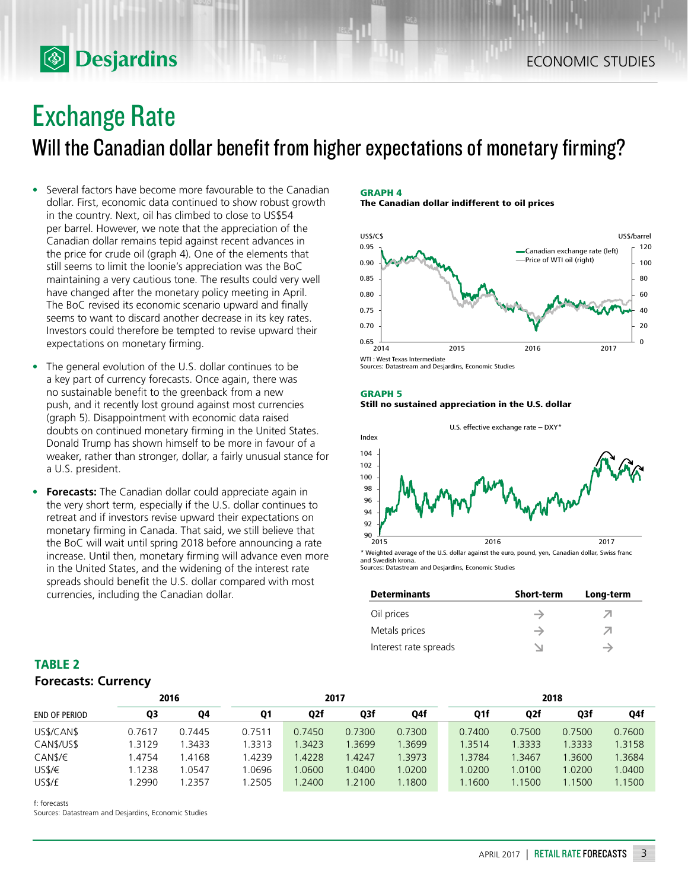## Exchange Rate

**<b>Desjardins** 

Will the Canadian dollar benefit from higher expectations of monetary firming?

- Several factors have become more favourable to the Canadian dollar. First, economic data continued to show robust growth in the country. Next, oil has climbed to close to US\$54 per barrel. However, we note that the appreciation of the Canadian dollar remains tepid against recent advances in the price for crude oil (graph 4). One of the elements that still seems to limit the loonie's appreciation was the BoC maintaining a very cautious tone. The results could very well have changed after the monetary policy meeting in April. The BoC revised its economic scenario upward and finally seems to want to discard another decrease in its key rates. Investors could therefore be tempted to revise upward their expectations on monetary firming.
- The general evolution of the U.S. dollar continues to be a key part of currency forecasts. Once again, there was no sustainable benefit to the greenback from a new push, and it recently lost ground against most currencies (graph 5). Disappointment with economic data raised doubts on continued monetary firming in the United States. Donald Trump has shown himself to be more in favour of a weaker, rather than stronger, dollar, a fairly unusual stance for a U.S. president.
- **• Forecasts:** The Canadian dollar could appreciate again in the very short term, especially if the U.S. dollar continues to retreat and if investors revise upward their expectations on monetary firming in Canada. That said, we still believe that the BoC will wait until spring 2018 before announcing a rate increase. Until then, monetary firming will advance even more in the United States, and the widening of the interest rate spreads should benefit the U.S. dollar compared with most currencies, including the Canadian dollar.

#### **GRAPH 4 The Canadian dollar indifferent to oil prices**

US\$/C\$ 0 120  $0.65 \downarrow 0.014$ 0.70 0.75 0.80 0.85 0.90 0.95 Canadian exchange rate (left) Price of WTI oil (right) US\$/barrel

2014 2015 2016 2017

WTI : West Texas Intermediate Sources: Datastream and Desjardins, Economic Studies

### **GRAPH 5**

### **Still no sustained appreciation in the U.S. dollar**



and Swedish krona. Sources: Datastream and Desjardins, Economic Studies

| <b>Determinants</b>   | <b>Short-term</b> | Long-term |
|-----------------------|-------------------|-----------|
| Oil prices            |                   | Λ         |
| Metals prices         |                   | ↗         |
| Interest rate spreads |                   |           |

| TABLE 2                    |  |
|----------------------------|--|
| <b>Forecasts: Currency</b> |  |

|                      | 2016   |           | 2017   |                  |        |        | 2018 |        |        |        |        |
|----------------------|--------|-----------|--------|------------------|--------|--------|------|--------|--------|--------|--------|
| <b>END OF PERIOD</b> | Q3     | <b>Q4</b> | Q1     | Q <sub>2</sub> f | Q3f    | Q4f    |      | Q1f    | Q2f    | Q3f    | Q4f    |
| US\$/CAN\$           | 0.7617 | 0.7445    | 0.7511 | 0.7450           | 0.7300 | 0.7300 |      | 0.7400 | 0.7500 | 0.7500 | 0.7600 |
| CAN\$/US\$           | .3129  | 1.3433    | 1.3313 | 1.3423           | 1.3699 | 1.3699 |      | 1.3514 | 1.3333 | 1.3333 | 1.3158 |
| CAN\$/€              | 4754   | 1.4168    | 1.4239 | .4228            | .4247  | 1.3973 |      | 1.3784 | 1.3467 | 1.3600 | 1.3684 |
| USS/E                | 1.1238 | .0547     | 1.0696 | 0600.            | .0400  | 1.0200 |      | .0200  | 1.0100 | 1.0200 | 1.0400 |
| US\$/£               | .2990  | 1.2357    | .2505  | 1.2400           | 1.2100 | .1800  |      | .1600  | 1.1500 | 1.1500 | 1.1500 |

f: forecasts

Sources: Datastream and Desjardins, Economic Studies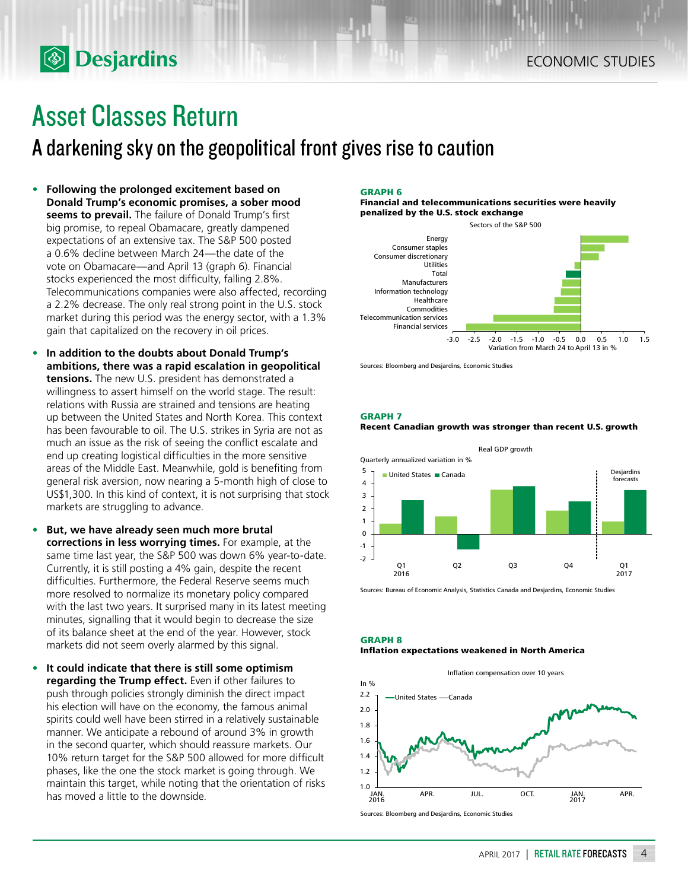# Asset Classes Return

**<b>Desjardins** 

## A darkening sky on the geopolitical front gives rise to caution

- **• Following the prolonged excitement based on Donald Trump's economic promises, a sober mood seems to prevail.** The failure of Donald Trump's first big promise, to repeal Obamacare, greatly dampened expectations of an extensive tax. The S&P 500 posted a 0.6% decline between March 24—the date of the vote on Obamacare—and April 13 (graph 6). Financial stocks experienced the most difficulty, falling 2.8%. Telecommunications companies were also affected, recording a 2.2% decrease. The only real strong point in the U.S. stock market during this period was the energy sector, with a 1.3% gain that capitalized on the recovery in oil prices.
- **• In addition to the doubts about Donald Trump's ambitions, there was a rapid escalation in geopolitical tensions.** The new U.S. president has demonstrated a willingness to assert himself on the world stage. The result: relations with Russia are strained and tensions are heating up between the United States and North Korea. This context has been favourable to oil. The U.S. strikes in Syria are not as much an issue as the risk of seeing the conflict escalate and end up creating logistical difficulties in the more sensitive areas of the Middle East. Meanwhile, gold is benefiting from general risk aversion, now nearing a 5‑month high of close to US\$1,300. In this kind of context, it is not surprising that stock markets are struggling to advance.
- **• But, we have already seen much more brutal corrections in less worrying times.** For example, at the same time last year, the S&P 500 was down 6% year-to-date. Currently, it is still posting a 4% gain, despite the recent difficulties. Furthermore, the Federal Reserve seems much more resolved to normalize its monetary policy compared with the last two years. It surprised many in its latest meeting minutes, signalling that it would begin to decrease the size of its balance sheet at the end of the year. However, stock markets did not seem overly alarmed by this signal.
- **• It could indicate that there is still some optimism regarding the Trump effect.** Even if other failures to push through policies strongly diminish the direct impact his election will have on the economy, the famous animal spirits could well have been stirred in a relatively sustainable manner. We anticipate a rebound of around 3% in growth in the second quarter, which should reassure markets. Our 10% return target for the S&P 500 allowed for more difficult phases, like the one the stock market is going through. We maintain this target, while noting that the orientation of risks has moved a little to the downside.

#### **GRAPH 6**

**Financial and telecommunications securities were heavily penalized by the U.S. stock exchange**



Sources: Bloomberg and Desjardins, Economic Studies

**GRAPH 7**

#### **Recent Canadian growth was stronger than recent U.S. growth**



Sources: Bureau of Economic Analysis, Statistics Canada and Desjardins, Economic Studies

#### **GRAPH 8 Inflation expectations weakened in North America**



Sources: Bloomberg and Desjardins, Economic Studies